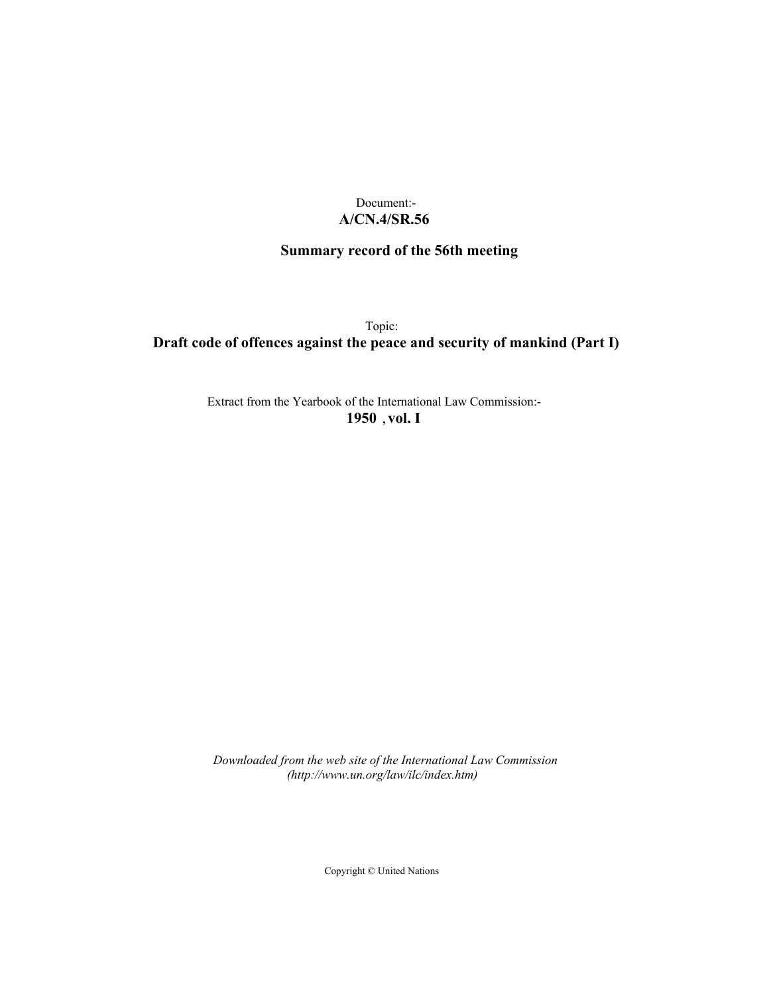## Document:- **A/CN.4/SR.56**

# **Summary record of the 56th meeting**

Topic: **Draft code of offences against the peace and security of mankind (Part I)**

> Extract from the Yearbook of the International Law Commission:- **1950** ,**vol. I**

*Downloaded from the web site of the International Law Commission (http://www.un.org/law/ilc/index.htm)*

Copyright © United Nations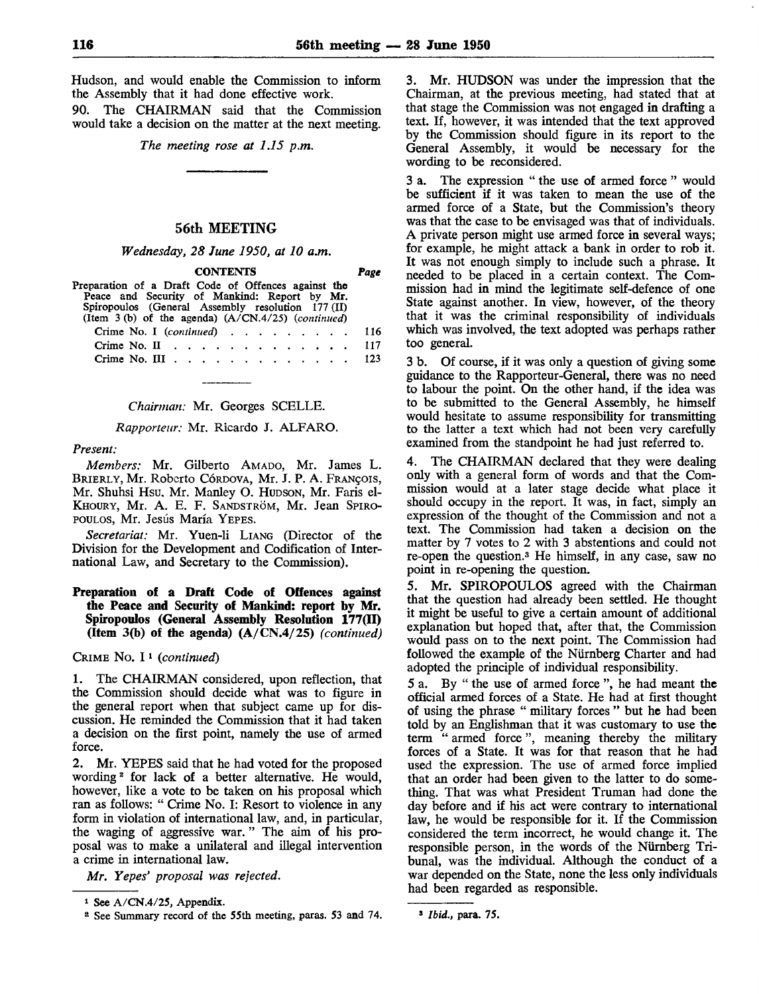Hudson, and would enable the Commission to inform the Assembly that it had done effective work.

90. The CHAIRMAN said that the Commission would take a decision on the matter at the next meeting.

*The meeting rose at 1.15 p.m.*

## 56th MEETING

*Wednesday, 28 June 1950, at 10 am.*

CONTENTS *Page*

Preparation of a Draft Code of Offences against the Peace and Security of Mankind: Report by Mr. Spiropoulos (General Assembly resolution 177 (II) (Item 3 (b) of the agenda) (A/CN.4/25) *(continued)* Crime No. I *(continued)* ........ . 116

| Crime No. II $\ldots$ $\ldots$ $\ldots$ $\ldots$ $\ldots$ $\ldots$ 117 |  |  |  |  |  |  |  |  |
|------------------------------------------------------------------------|--|--|--|--|--|--|--|--|
| Crime No. III 123                                                      |  |  |  |  |  |  |  |  |

*Chairman:* Mr. Georges SCELLE.

*Rapporteur:* Mr. Ricardo J. ALFARO.

#### *Present:*

*Members:* Mr. Gilberto AMADO, Mr. James L. BRIERLY, Mr. Roberto CÓRDOVA, Mr. J. P. A. FRANÇOIS, Mr. Shuhsi Hsu, Mr. Manley O. HUDSON, Mr. Paris el-KHOURY, Mr. A. E. F. SANDSTRÖM, Mr. Jean SPIRO-POULOS, Mr. Jesús María YEPES.

*Secretariat:* Mr. Yuen-li LIANG (Director of the Division for the Development and Codification of International Law, and Secretary to the Commission).

## Preparation of a Draft Code of Offences against the Peace and Security of Mankind: report by Mr. Spiropoulos (General Assembly Resolution 177(11) (Item 3(b) of the agenda) (A/CN.4/25) *(continued)*

CRIME No. I*<sup>1</sup> (continued)*

1. The CHAIRMAN considered, upon reflection, that the Commission should decide what was to figure in the general report when that subject came up for discussion. He reminded the Commission that it had taken a decision on the first point, namely the use of armed force.

2. Mr. YEPES said that he had voted for the proposed wording<sup>2</sup> for lack of a better alternative. He would, however, like a vote to be taken on his proposal which ran as follows: " Crime No. I: Resort to violence in any form in violation of international law, and, in particular, the waging of aggressive war. " The aim of his proposal was to make a unilateral and illegal intervention a crime in international law.

*Mr. Yepes' proposal was rejected.*

3. Mr. HUDSON was under the impression that the Chairman, at the previous meeting, had stated that at that stage the Commission was not engaged in drafting a text. If, however, it was intended that the text approved by the Commission should figure in its report to the General Assembly, it would be necessary for the wording to be reconsidered.

3 a. The expression " the use of armed force " would be sufficient if it was taken to mean the use of the armed force of a State, but the Commission's theory was that the case to be envisaged was that of individuals. A private person might use armed force in several ways; for example, he might attack a bank in order to rob it. It was not enough simply to include such a phrase. It needed to be placed in a certain context. The Commission had in mind the legitimate self-defence of one State against another. In view, however, of the theory that it was the criminal responsibility of individuals which was involved, the text adopted was perhaps rather too general.

3 b. Of course, if it was only a question of giving some guidance to the Rapporteur-General, there was no need to labour the point. On the other hand, if the idea was to be submitted to the General Assembly, he himself would hesitate to assume responsibility for transmitting to the latter a text which had not been very carefully examined from the standpoint he had just referred to.

4. The CHAIRMAN declared that they were dealing only with a general form of words and that the Commission would at a later stage decide what place it should occupy in the report. It was, in fact, simply an expression of the thought of the Commission and not a text. The Commission had taken a decision on the matter by 7 votes to 2 with 3 abstentions and could not re-open the question.<sup>3</sup> He himself, in any case, saw no point in re-opening the question.

5. Mr. SPIROPOULOS agreed with the Chairman that the question had already been settled. He thought it might be useful to give a certain amount of additional explanation but hoped that, after that, the Commission would pass on to the next point. The Commission had followed the example of the Niirnberg Charter and had adopted the principle of individual responsibility.

5 a. By " the use of armed force ", he had meant the official armed forces of a State. He had at first thought of using the phrase " military forces " but he had been told by an Englishman that it was customary to use the term " armed force", meaning thereby the military forces of a State. It was for that reason that he had used the expression. The use of armed force implied that an order had been given to the latter to do something. That was what President Truman had done the day before and if his act were contrary to international law, he would be responsible for it. If the Commission considered the term incorrect, he would change it. The responsible person, in the words of the Niirnberg Tribunal, was the individual. Although the conduct of a war depended on the State, none the less only individuals had been regarded as responsible.

i See A/CN.4/25, Appendix.

<sup>&</sup>lt;sup>2</sup> See Summary record of the 55th meeting, paras. 53 and 74.

<sup>»</sup> *Ibid.,* para. 75.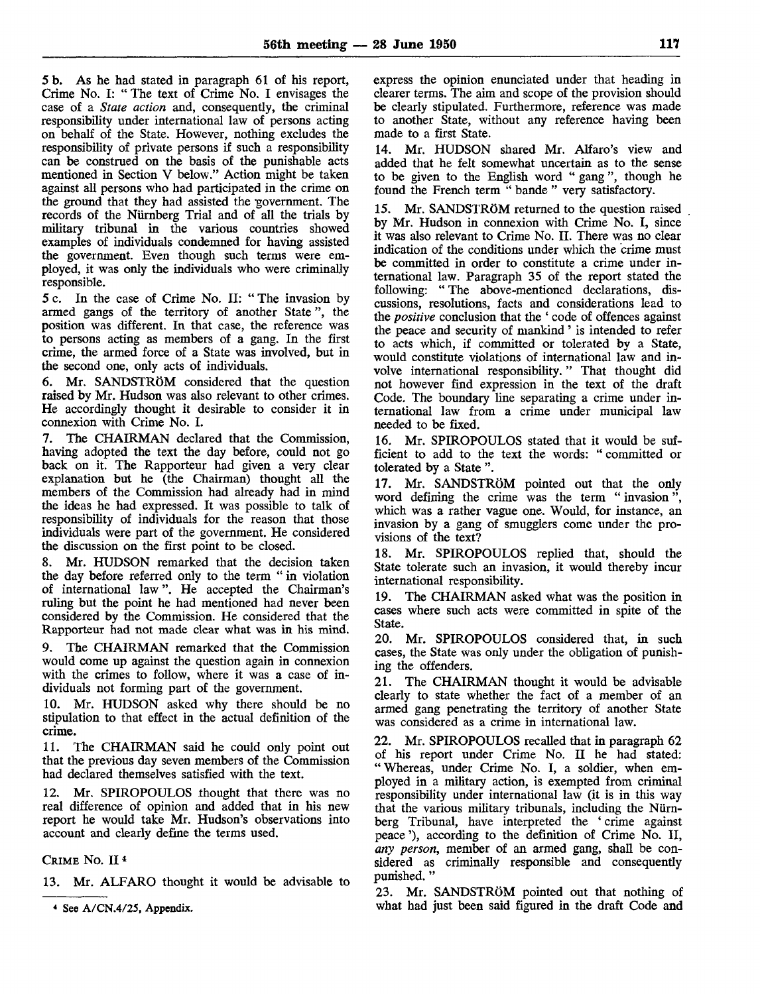5 b. As he had stated in paragraph 61 of his report, Crime No. I: " The text of Crime No. I envisages the case of a *State action* and, consequently, the criminal responsibility under international law of persons acting on behalf of the State. However, nothing excludes the responsibility of private persons if such a responsibility can be construed on the basis of the punishable acts mentioned in Section V below." Action might be taken against all persons who had participated in the crime on the ground that they had assisted the 'government. The records of the Nürnberg Trial and of all the trials by military tribunal in the various countries showed examples of individuals condemned for having assisted the government. Even though such terms were employed, it was only the individuals who were criminally responsible.

5 c. In the case of Crime No. II: " The invasion by armed gangs of the territory of another State ", the position was different. In that case, the reference was to persons acting as members of a gang. In the first crime, the armed force of a State was involved, but in the second one, only acts of individuals.

6. Mr. SANDSTRÔM considered that the question raised by Mr. Hudson was also relevant to other crimes. He accordingly thought it desirable to consider it in connexion with Crime No. I.

7. The CHAIRMAN declared that the Commission, having adopted the text the day before, could not go back on it. The Rapporteur had given a very clear explanation but he (the Chairman) thought all the members of the Commission had already had in mind the ideas he had expressed. It was possible to talk of responsibility of individuals for the reason that those individuals were part of the government. He considered the discussion on the first point to be closed.

8. Mr. HUDSON remarked that the decision taken the day before referred only to the term " in violation of international law ". He accepted the Chairman's ruling but the point he had mentioned had never been considered by the Commission. He considered that the Rapporteur had not made clear what was in his mind.

9. The CHAIRMAN remarked that the Commission would come up against the question again in connexion with the crimes to follow, where it was a case of individuals not forming part of the government.

10. Mr. HUDSON asked why there should be no stipulation to that effect in the actual definition of the crime.

11. The CHAIRMAN said he could only point out that the previous day seven members of the Commission had declared themselves satisfied with the text.

12. Mr. SPIROPOULOS thought that there was no real difference of opinion and added that in his new report he would take Mr. Hudson's observations into account and clearly define the terms used.

CRIME No. II<sup>4</sup>

13. Mr. ALFARO thought it would be advisable to

express the opinion enunciated under that heading in clearer terms. The aim and scope of the provision should be clearly stipulated. Furthermore, reference was made to another State, without any reference having been made to a first State.

14. Mr. HUDSON shared Mr. Alfaro's view and added that he felt somewhat uncertain as to the sense to be given to the English word " gang ", though he found the French term " bande " very satisfactory.

Mr. SANDSTRÖM returned to the question raised by Mr. Hudson in connexion with Crime No. I, since it was also relevant to Crime No. II. There was no clear indication of the conditions under which the crime must be committed in order to constitute a crime under international law. Paragraph 35 of the report stated the following: " The above-mentioned declarations, discussions, resolutions, facts and considerations lead to the *positive* conclusion that the ' code of offences against the peace and security of mankind ' is intended to refer to acts which, if committed or tolerated by a State, would constitute violations of international law and involve international responsibility. " That thought did not however find expression in the text of the draft Code. The boundary line separating a crime under international law from a crime under municipal law needed to be fixed.

16. Mr. SPIROPOULOS stated that it would be sufficient to add to the text the words: " committed or tolerated by a State ".

17. Mr. SANDSTRÔM pointed out that the only word defining the crime was the term " invasion ", which was a rather vague one. Would, for instance, an invasion by a gang of smugglers come under the provisions of the text?

18. Mr. SPIROPOULOS replied that, should the State tolerate such an invasion, it would thereby incur international responsibility.

19. The CHAIRMAN asked what was the position in cases where such acts were committed in spite of the State.

20. Mr. SPIROPOULOS considered that, in such cases, the State was only under the obligation of punishing the offenders.

21. The CHAIRMAN thought it would be advisable clearly to state whether the fact of a member of an armed gang penetrating the territory of another State was considered as a crime in international law.

22. Mr. SPIROPOULOS recalled that in paragraph 62 of his report under Crime No. II he had stated: " Whereas, under Crime No. I, a soldier, when employed in a military action, is exempted from criminal responsibility under international law (it is in this way that the various military tribunals, including the Nürnberg Tribunal, have interpreted the ' crime against peace '), according to the definition of Crime No. II, *any person,* member of an armed gang, shall be considered as criminally responsible and consequently punished. "

23. Mr. SANDSTRÔM pointed out that nothing of what had just been said figured in the draft Code and

See A/CN.4/25, Appendix.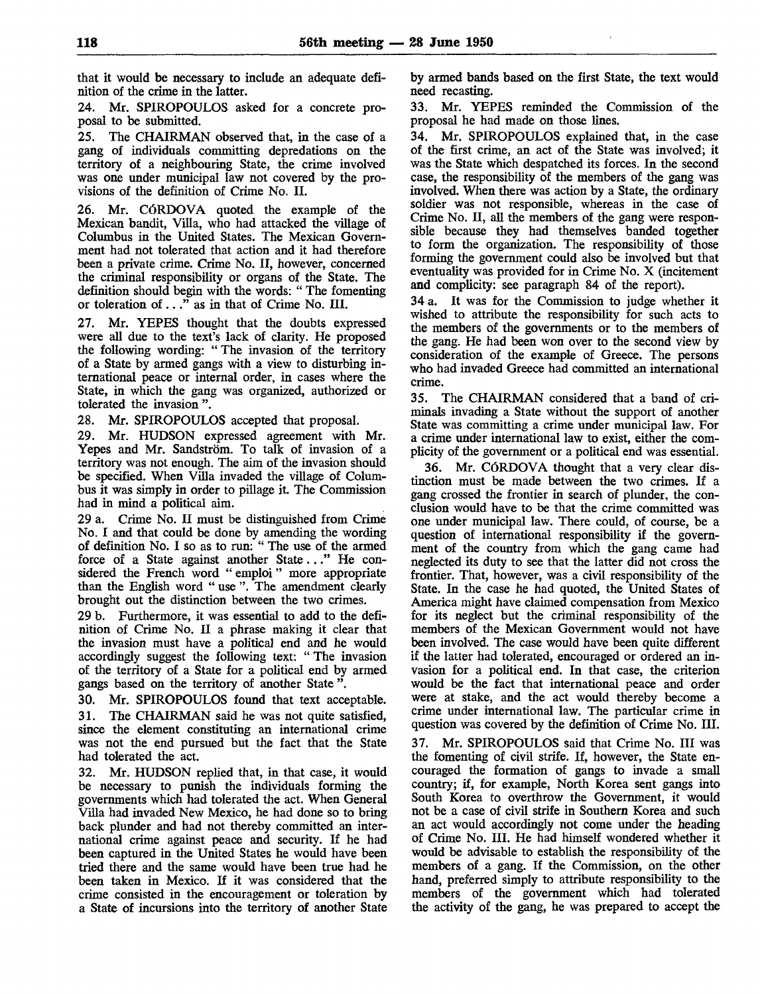that it would be necessary to include an adequate definition of the crime in the latter.

24. Mr. SPIROPOULOS asked for a concrete proposal to be submitted.

25. The CHAIRMAN observed that, in the case of a gang of individuals committing depredations on the territory of a neighbouring State, the crime involved was one under municipal law not covered by the provisions of the definition of Crime No. II.

26. Mr. CÓRDOVA quoted the example of the Mexican bandit, Villa, who had attacked the village of Columbus in the United States. The Mexican Government had not tolerated that action and it had therefore been a private crime. Crime No. II, however, concerned the criminal responsibility or organs of the State. The definition should begin with the words: " The fomenting or toleration of  $\ldots$ " as in that of Crime No. III.

27. Mr. YEPES thought that the doubts expressed were all due to the text's lack of clarity. He proposed the following wording: "The invasion of the territory of a State by armed gangs with a view to disturbing international peace or internal order, in cases where the State, in which the gang was organized, authorized or tolerated the invasion ".

28. Mr. SPIROPOULOS accepted that proposal.

29. Mr. HUDSON expressed agreement with Mr. Yepes and Mr. Sandstrôm. To talk of invasion of a territory was not enough. The aim of the invasion should be specified. When Villa invaded the village of Columbus it was simply in order to pillage it. The Commission had in mind a political aim.

29 a. Crime No. II must be distinguished from Crime No. I and that could be done by amending the wording of definition No. I so as to run: " The use of the armed force of a State against another State..." He considered the French word " emploi " more appropriate than the English word " use ". The amendment clearly brought out the distinction between the two crimes.

29 b. Furthermore, it was essential to add to the definition of Crime No. II a phrase making it clear that the invasion must have a political end and he would accordingly suggest the following text: " The invasion of the territory of a State for a political end by armed gangs based on the territory of another State ".

30. Mr. SPIROPOULOS found that text acceptable. 31. The CHAIRMAN said he was not quite satisfied, since the element constituting an international crime was not the end pursued but the fact that the State had tolerated the act.

32. Mr. HUDSON replied that, in that case, it would be necessary to punish the individuals forming the governments which had tolerated the act. When General Villa had invaded New Mexico, he had done so to bring back plunder and had not thereby committed an international crime against peace and security. If he had been captured in the United States he would have been tried there and the same would have been true had he been taken in Mexico. If it was considered that the crime consisted in the encouragement or toleration by a State of incursions into the territory of another State

by armed bands based on the first State, the text would need recasting.

33. Mr. YEPES reminded the Commission of the proposal he had made on those lines.

34. Mr. SPIROPOULOS explained that, in the case of the first crime, an act of the State was involved; it was the State which despatched its forces. In the second case, the responsibility of the members of the gang was involved. When there was action by a State, the ordinary soldier was not responsible, whereas in the case of Crime No. II, all the members of the gang were responsible because they had themselves banded together to form the organization. The responsibility of those forming the government could also be involved but that eventuality was provided for in Crime No. X (incitement and complicity: see paragraph 84 of the report).

34 a. It was for the Commission to judge whether it wished to attribute the responsibility for such acts to the members of the governments or to the members of the gang. He had been won over to the second view by consideration of the example of Greece. The persons who had invaded Greece had committed an international crime.

35. The CHAIRMAN considered that a band of criminals invading a State without the support of another State was committing a crime under municipal law. For a crime under international law to exist, either the complicity of the government or a political end was essential.

36. Mr. CÓRDOVA thought that a very clear distinction must be made between the two crimes. If a gang crossed the frontier in search of plunder, the conclusion would have to be that the crime committed was one under municipal law. There could, of course, be a question of international responsibility if the government of the country from which the gang came had neglected its duty to see that the latter did not cross the frontier. That, however, was a civil responsibility of the State. In the case he had quoted, the United States of America might have claimed compensation from Mexico for its neglect but the criminal responsibility of the members of the Mexican Government would not have been involved. The case would have been quite different if the latter had tolerated, encouraged or ordered an invasion for a political end. In that case, the criterion would be the fact that international peace and order were at stake, and the act would thereby become a crime under international law. The particular crime in question was covered by the definition of Crime No. III.

37. Mr. SPIROPOULOS said that Crime No. Ill was the fomenting of civil strife. If, however, the State encouraged the formation of gangs to invade a small country; if, for example, North Korea sent gangs into South Korea to overthrow the Government, it would not be a case of civil strife in Southern Korea and such an act would accordingly not come under the heading of Crime No. III. He had himself wondered whether it would be advisable to establish the responsibility of the members of a gang. If the Commission, on the other hand, preferred simply to attribute responsibility to the members of the government which had tolerated the activity of the gang, he was prepared to accept the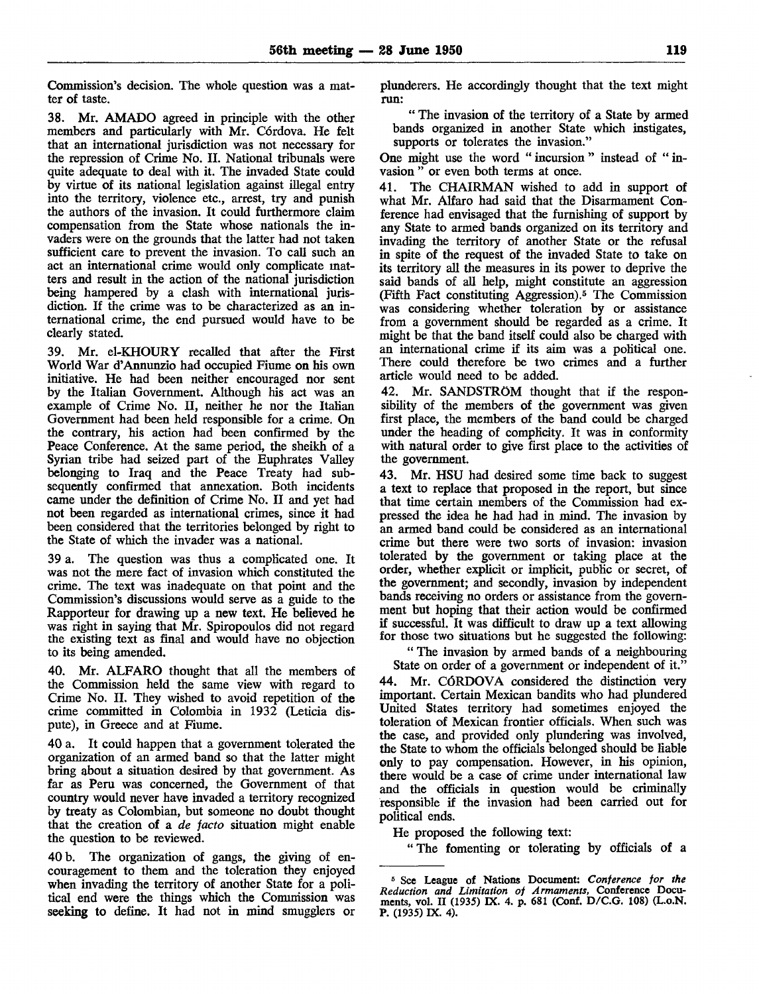Commission's decision. The whole question was a matter of taste.

38. Mr. AMADO agreed in principle with the other members and particularly with Mr. Córdova. He felt that an international jurisdiction was not necessary for the repression of Crime No. II. National tribunals were quite adequate to deal with it. The invaded State could by virtue of its national legislation against illegal entry into the territory, violence etc., arrest, try and punish the authors of the invasion. It could furthermore claim compensation from the State whose nationals the invaders were on the grounds that the latter had not taken sufficient care to prevent the invasion. To call such an act an international crime would only complicate matters and result in the action of the national jurisdiction being hampered by a clash with international jurisdiction. If the crime was to be characterized as an international crime, the end pursued would have to be clearly stated.

39. Mr. el-KHOURY recalled that after the First World War d'Annunzio had occupied Fiume on his own initiative. He had been neither encouraged nor sent by the Italian Government. Although his act was an example of Crime No. II, neither he nor the Italian Government had been held responsible for a crime. On the contrary, his action had been confirmed by the Peace Conference. At the same period, the sheikh of a Syrian tribe had seized part of the Euphrates Valley belonging to Iraq and the Peace Treaty had subsequently confirmed that annexation. Both incidents came under the definition of Crime No. II and yet had not been regarded as international crimes, since it had been considered that the territories belonged by right to the State of which the invader was a national.

39 a. The question was thus a complicated one. It was not the mere fact of invasion which constituted the crime. The text was inadequate on that point and the Commission's discussions would serve as a guide to the Rapporteur for drawing up a new text. He believed he was right in saying that Mr. Spiropoulos did not regard the existing text as final and would have no objection to its being amended.

40. Mr. ALFARO thought that all the members of the Commission held the same view with regard to Crime No. II. They wished to avoid repetition of the crime committed in Colombia in 1932 (Leticia dispute), in Greece and at Fiume.

40 a. It could happen that a government tolerated the organization of an armed band so that the latter might bring about a situation desired by that government. As far as Peru was concerned, the Government of that country would never have invaded a territory recognized by treaty as Colombian, but someone no doubt thought that the creation of a *de jacto* situation might enable the question to be reviewed.

40 b. The organization of gangs, the giving of encouragement to them and the toleration they enjoyed when invading the territory of another State for a political end were the things which the Commission was seeking to define. It had not in mind smugglers or

plunderers. He accordingly thought that the text might run:

" The invasion of the territory of a State by armed bands organized in another State which instigates, supports or tolerates the invasion."

One might use the word " incursion " instead of " invasion " or even both terms at once.

41. The CHAIRMAN wished to add in support of what Mr. Alfaro had said that the Disarmament Conference had envisaged that the furnishing of support by any State to armed bands organized on its territory and invading the territory of another State or the refusal in spite of the request of the invaded State to take on its territory all the measures in its power to deprive the said bands of all help, might constitute an aggression (Fifth Fact constituting Aggression).<sup>5</sup> The Commission was considering whether toleration by or assistance from a government should be regarded as a crime. It might be that the band itself could also be charged with an international crime if its aim was a political one. There could therefore be two crimes and a further article would need to be added.

42. Mr. SANDSTROM thought that if the responsibility of the members of the government was given first place, the members of the band could be charged under the heading of complicity. It was in conformity with natural order to give first place to the activities of the government.

43. Mr. HSU had desired some time back to suggest a text to replace that proposed in the report, but since that time certain members of the Commission had expressed the idea he had had in mind. The invasion by an armed band could be considered as an international crime but there were two sorts of invasion: invasion tolerated by the government or taking place at the order, whether explicit or implicit, public or secret, of the government; and secondly, invasion by independent bands receiving no orders or assistance from the government but hoping that their action would be confirmed if successful. It was difficult to draw up a text allowing for those two situations but he suggested the following:

" The invasion by armed bands of a neighbouring

State on order of a government or independent of it." 44. Mr. CÓRDOVA considered the distinction very important. Certain Mexican bandits who had plundered United States territory had sometimes enjoyed the toleration of Mexican frontier officials. When such was the case, and provided only plundering was involved, the State to whom the officials belonged should be liable only to pay compensation. However, in his opinion, there would be a case of crime under international law and the officials in question would be criminally responsible if the invasion had been carried out for political ends.

He proposed the following text:

" The fomenting or tolerating by officials of a

<sup>5</sup> See League of Nations Document: *Conference for the Reduction and Limitation of Armaments,* Conference Documents, vol. II (1935) IX. 4. p. 681 (Conf. D/C.G. 108) (L.o.N. P. (1935) IX. 4).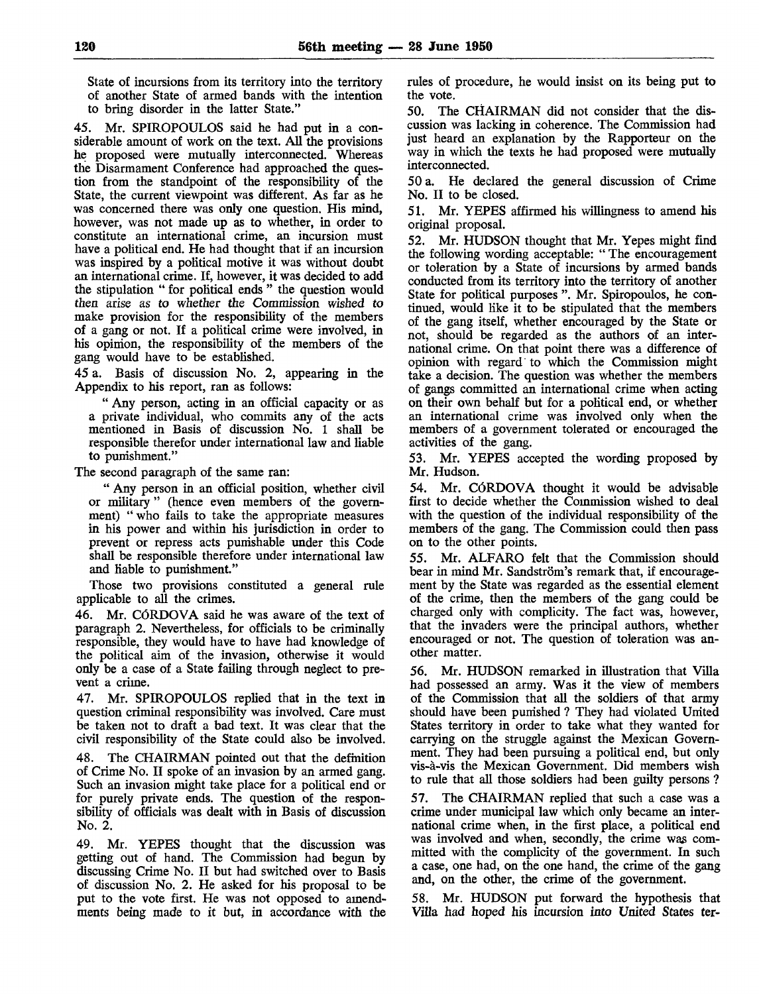State of incursions from its territory into the territory of another State of armed bands with the intention to bring disorder in the latter State."

45. Mr. SPIROPOULOS said he had put in a considerable amount of work on the text. All the provisions he proposed were mutually interconnected. Whereas the Disarmament Conference had approached the question from the standpoint of the responsibility of the State, the current viewpoint was different. As far as he was concerned there was only one question. His mind, however, was not made up as to whether, in order to constitute an international crime, an incursion must have a political end. He had thought that if an incursion was inspired by a political motive it was without doubt an international crime. If, however, it was decided to add the stipulation " for political ends " the question would then arise as to whether the Commission wished to make provision for the responsibility of the members of a gang or not. If a political crime were involved, in his opinion, the responsibility of the members of the gang would have to be established.

45 a. Basis of discussion No. 2, appearing in the Appendix to his report, ran as follows:

" Any person, acting in an official capacity or as a private individual, who commits any of the acts mentioned in Basis of discussion No. 1 shall be responsible therefor under international law and liable to punishment."

The second paragraph of the same ran:

" Any person in an official position, whether civil or military " (hence even members of the government) " who fails to take the appropriate measures in his power and within his jurisdiction in order to prevent or repress acts punishable under this Code shall be responsible therefore under international law and liable to punishment."

Those two provisions constituted a general rule applicable to all the crimes.

46. Mr. CÓRDOVA said he was aware of the text of paragraph 2. Nevertheless, for officials to be criminally responsible, they would have to have had knowledge of the political aim of the invasion, otherwise it would only be a case of a State failing through neglect to prevent a crime.

47. Mr. SPIROPOULOS replied that in the text in question criminal responsibility was involved. Care must be taken not to draft a bad text. It was clear that the civil responsibility of the State could also be involved.

48. The CHAIRMAN pointed out that the definition of Crime No. II spoke of an invasion by an armed gang. Such an invasion might take place for a political end or for purely private ends. The question of the responsibility of officials was dealt with in Basis of discussion No. 2.

49. Mr. YEPES thought that the discussion was getting out of hand. The Commission had begun by discussing Crime No. II but had switched over to Basis of discussion No. 2. He asked for his proposal to be put to the vote first. He was not opposed to amendments being made to it but, in accordance with the rules of procedure, he would insist on its being put to the vote.

50. The CHAIRMAN did not consider that the discussion was lacking in coherence. The Commission had just heard an explanation by the Rapporteur on the way in which the texts he had proposed were mutually interconnected.

50 a. He declared the general discussion of Crime No. II to be closed.

51. Mr. YEPES affirmed his willingness to amend his original proposal.

52. Mr. HUDSON thought that Mr. Yepes might find the following wording acceptable: " The encouragement or toleration by a State of incursions by armed bands conducted from its territory into the territory of another State for political purposes ". Mr. Spiropoulos, he continued, would like it to be stipulated that the members of the gang itself, whether encouraged by the State or not, should be regarded as the authors of an international crime. On that point there was a difference of opinion with regard to which the Commission might take a decision. The question was whether the members of gangs committed an international crime when acting on their own behalf but for a political end, or whether an international crime was involved only when the members of a government tolerated or encouraged the activities of the gang.

53. Mr. YEPES accepted the wording proposed by Mr. Hudson.

54. Mr. CÓRDOVA thought it would be advisable first to decide whether the Commission wished to deal with the question of the individual responsibility of the members of the gang. The Commission could then pass on to the other points.

55. Mr. ALFARO felt that the Commission should bear in mind Mr. Sandström's remark that, if encouragement by the State was regarded as the essential element of the crime, then the members of the gang could be charged only with complicity. The fact was, however, that the invaders were the principal authors, whether encouraged or not. The question of toleration was another matter.

56. Mr. HUDSON remarked in illustration that Villa had possessed an army. Was it the view of members of the Commission that all the soldiers of that army should have been punished ? They had violated United States territory in order to take what they wanted for carrying on the struggle against the Mexican Government. They had been pursuing a political end, but only vis-à-vis the Mexican Government. Did members wish to rule that all those soldiers had been guilty persons ?

57. The CHAIRMAN replied that such a case was a crime under municipal law which only became an international crime when, in the first place, a political end was involved and when, secondly, the crime was committed with the complicity of the government. In such a case, one had, on the one hand, the crime of the gang and, on the other, the crime of the government.

58. Mr. HUDSON put forward the hypothesis that Villa had hoped his incursion into United States ter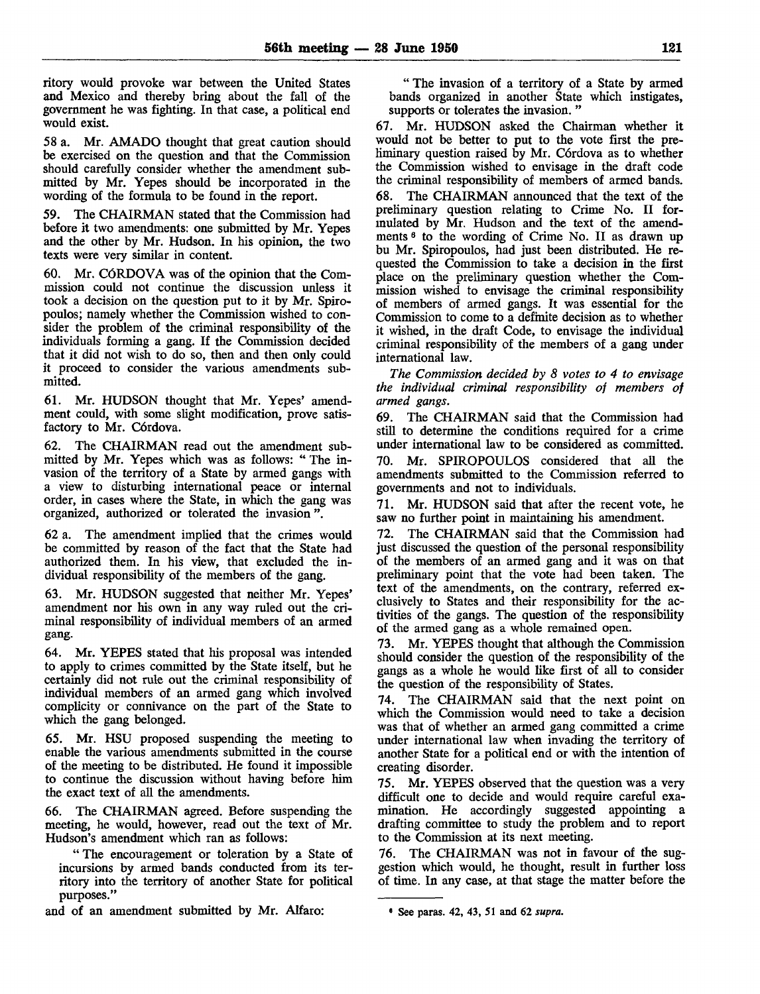ritory would provoke war between the United States and Mexico and thereby bring about the fall of the government he was fighting. In that case, a political end would exist.

58 a. Mr. AMADO thought that great caution should be exercised on the question and that the Commission should carefully consider whether the amendment submitted by Mr. Yepes should be incorporated in the wording of the formula to be found in the report.

59. The CHAIRMAN stated that the Commission had before it two amendments: one submitted by Mr. Yepes and the other by Mr. Hudson. In his opinion, the two texts were very similar in content.

60. Mr. CÓRDOVA was of the opinion that the Commission could not continue the discussion unless it took a decision on the question put to it by Mr. Spiropoulos; namely whether the Commission wished to consider the problem of the criminal responsibility of the individuals forming a gang. If the Commission decided that it did not wish to do so, then and then only could it proceed to consider the various amendments submitted.

61. Mr. HUDSON thought that Mr. Yepes' amendment could, with some slight modification, prove satisfactory to Mr. Córdova.

62. The CHAIRMAN read out the amendment submitted by Mr. Yepes which was as follows: " The invasion of the territory of a State by armed gangs with a view to disturbing international peace or internal order, in cases where the State, in which the gang was organized, authorized or tolerated the invasion ".

62 a. The amendment implied that the crimes would be committed by reason of the fact that the State had authorized them. In his view, that excluded the individual responsibility of the members of the gang.

63. Mr. HUDSON suggested that neither Mr. Yepes' amendment nor his own in any way ruled out the criminal responsibility of individual members of an armed gang.

64. Mr. YEPES stated that his proposal was intended to apply to crimes committed by the State itself, but he certainly did not rule out the criminal responsibility of individual members of an armed gang which involved complicity or connivance on the part of the State to which the gang belonged.

65. Mr. HSU proposed suspending the meeting to enable the various amendments submitted in the course of the meeting to be distributed. He found it impossible to continue the discussion without having before him the exact text of all the amendments.

66. The CHAIRMAN agreed. Before suspending the meeting, he would, however, read out the text of Mr. Hudson's amendment which ran as follows:

"The encouragement or toleration by a State of incursions by armed bands conducted from its territory into the territory of another State for political purposes."

and of an amendment submitted by Mr. Alfaro:

" The invasion of a territory of a State by armed bands organized in another State which instigates, supports or tolerates the invasion. "

67. Mr. HUDSON asked the Chairman whether it would not be better to put to the vote first the preliminary question raised by Mr. Córdova as to whether the Commission wished to envisage in the draft code the criminal responsibility of members of armed bands. 68. The CHAIRMAN announced that the text of the preliminary question relating to Crime No. II formulated by Mr. Hudson and the text of the amendments *<sup>6</sup>* to the wording of Crime No. II as drawn up bu Mr. Spiropoulos, had just been distributed. He requested the Commission to take a decision in the first place on the preliminary question whether the Commission wished to envisage the criminal responsibility of members of armed gangs. It was essential for the Commission to come to a definite decision as to whether it wished, in the draft Code, to envisage the individual criminal responsibility of the members of a gang under international law.

*The Commission decided by 8 votes to 4 to envisage the individual criminal responsibility of members of armed gangs.*

*69.* The CHAIRMAN said that the Commission had still to determine the conditions required for a crime under international law to be considered as committed. 70. Mr. SPIROPOULOS considered that all the amendments submitted to the Commission referred to governments and not to individuals.

71. Mr. HUDSON said that after the recent vote, he saw no further point in maintaining his amendment.

72. The CHAIRMAN said that the Commission had just discussed the question of the personal responsibility of the members of an armed gang and it was on that preliminary point that the vote had been taken. The text of the amendments, on the contrary, referred exclusively to States and their responsibility for the activities of the gangs. The question of the responsibility of the armed gang as a whole remained open.

73. Mr. YEPES thought that although the Commission should consider the question of the responsibility of the gangs as a whole he would like first of all to consider the question of the responsibility of States.

The CHAIRMAN said that the next point on which the Commission would need to take a decision was that of whether an armed gang committed a crime under international law when invading the territory of another State for a political end or with the intention of creating disorder.

75. Mr. YEPES observed that the question was a very difficult one to decide and would require careful examination. He accordingly suggested appointing a drafting committee to study the problem and to report to the Commission at its next meeting.

76. The CHAIRMAN was not in favour of the suggestion which would, he thought, result in further loss of time. In any case, at that stage the matter before the

<sup>&#</sup>x27; See paras. 42, 43, 51 and 62 *supra.*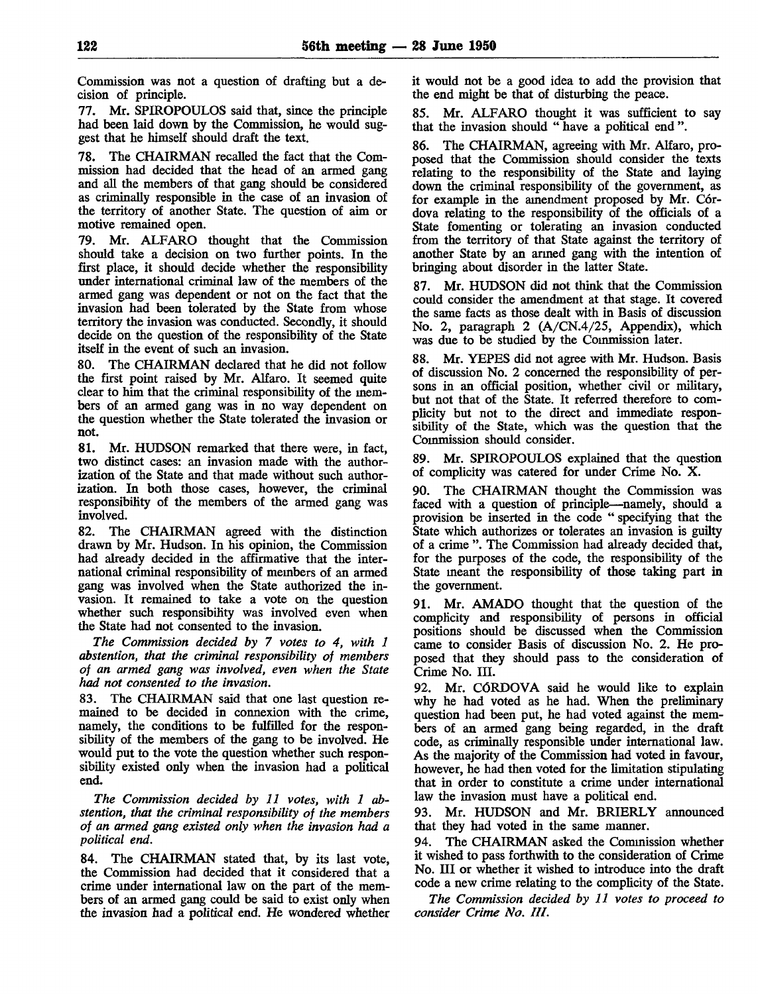Commission was not a question of drafting but a decision of principle.

77. Mr. SPIROPOULOS said that, since the principle had been laid down by the Commission, he would suggest that he himself should draft the text.

78. The CHAIRMAN recalled the fact that the Commission had decided that the head of an armed gang and all the members of that gang should be considered as criminally responsible in the case of an invasion of the territory of another State. The question of ami or motive remained open.

79. Mr. ALFARO thought that the Commission should take a decision on two further points. In the first place, it should decide whether the responsibility under international criminal law of the members of the armed gang was dependent or not on the fact that the invasion had been tolerated by the State from whose territory the invasion was conducted. Secondly, it should decide on the question of the responsibility of the State itself in the event of such an invasion.

80. The CHAIRMAN declared that he did not follow the first point raised by Mr. Alfaro. It seemed quite clear to him that the criminal responsibility of the members of an armed gang was in no way dependent on the question whether the State tolerated the Invasion or not.

81. Mr. HUDSON remarked that there were, in fact, two distinct cases: an invasion made with the authorization of the State and that made without such authorization. In both those cases, however, the criminal responsibility of the members of the armed gang was involved.

82. The CHAIRMAN agreed with the distinction drawn by Mr. Hudson. In his opinion, the Commission had already decided in the affirmative that the international criminal responsibility of members of an armed gang was involved when the State authorized the invasion. It remained to take a vote on the question whether such responsibility was involved even when the State had not consented to the invasion.

*The Commission decided by 7 votes to 4, with 1 abstention, that the criminal responsibility of members of an armed gang was involved, even when the State had not consented to the invasion.*

83. The CHAIRMAN said that one last question remained to be decided in connexion with the crime, namely, the conditions to be fulfilled for the responsibility of the members of the gang to be involved. He would put to the vote the question whether such responsibility existed only when the invasion had a political end.

*The Commission decided by 11 votes, with 1 abstention, that the criminal responsibility of the members of an armed gang existed only when the invasion had a political end.*

84. The CHAIRMAN stated that, by its last vote, the Commission had decided that it considered that a crime under international law on the part of the members of an armed gang could be said to exist only when the invasion had a political end. He wondered whether

it would not be a good idea to add the provision that the end might be that of disturbing the peace.

85. Mr. ALFARO thought it was sufficient to say that the invasion should " have a political end".

86. The CHAIRMAN, agreeing with Mr. Alfaro, proposed that the Commission should consider the texts relating to the responsibility of the State and laying down the criminal responsibility of the government, as for example in the amendment proposed by Mr. Córdova relating to the responsibility of the officials of a State fomenting or tolerating an invasion conducted from the territory of that State against the territory of another State by an armed gang with the intention of bringing about disorder in the latter State.

87. Mr. HUDSON did not think that the Commission could consider the amendment at that stage. It covered the same facts as those dealt with in Basis of discussion No. 2, paragraph 2 (A/CN.4/25, Appendix), which was due to be studied by the Commission later.

88. Mr. YEPES did not agree with Mr. Hudson. Basis of discussion No. 2 concerned the responsibility of persons in an official position, whether civil or military, but not that of the State. It referred therefore to complicity but not to the direct and immediate responsibility of the State, which was the question that the Commission should consider.

89. Mr. SPIROPOULOS explained that the question of complicity was catered for under Crime No. X.

90. The CHAIRMAN thought the Commission was faced with a question of principle—namely, should a provision be inserted in the code " specifying that the State which authorizes or tolerates an invasion is guilty of a crime ". The Commission had already decided that, for the purposes of the code, the responsibility of the State meant the responsibility of those taking part in the government.

91. Mr. AMADO thought that the question of the complicity and responsibility of persons in official positions should be discussed when the Commission came to consider Basis of discussion No. 2. He proposed that they should pass to the consideration of Crime No. III.

92. Mr. CÓRDOVA said he would like to explain why he had voted as he had. When the preliminary question had been put, he had voted against the members of an armed gang being regarded, in the draft code, as criminally responsible under international law. As the majority of the Commission had voted in favour, however, he had then voted for the limitation stipulating that in order to constitute a crime under international law the invasion must have a political end.

93. Mr. HUDSON and Mr. BRIERLY announced that they had voted in the same manner.

94. The CHAIRMAN asked the Commission whether it wished to pass forthwith to the consideration of Crime No. III or whether it wished to introduce into the draft code a new crime relating to the complicity of the State.

*The Commission decided by 11 votes to proceed to consider Crime No. HI.*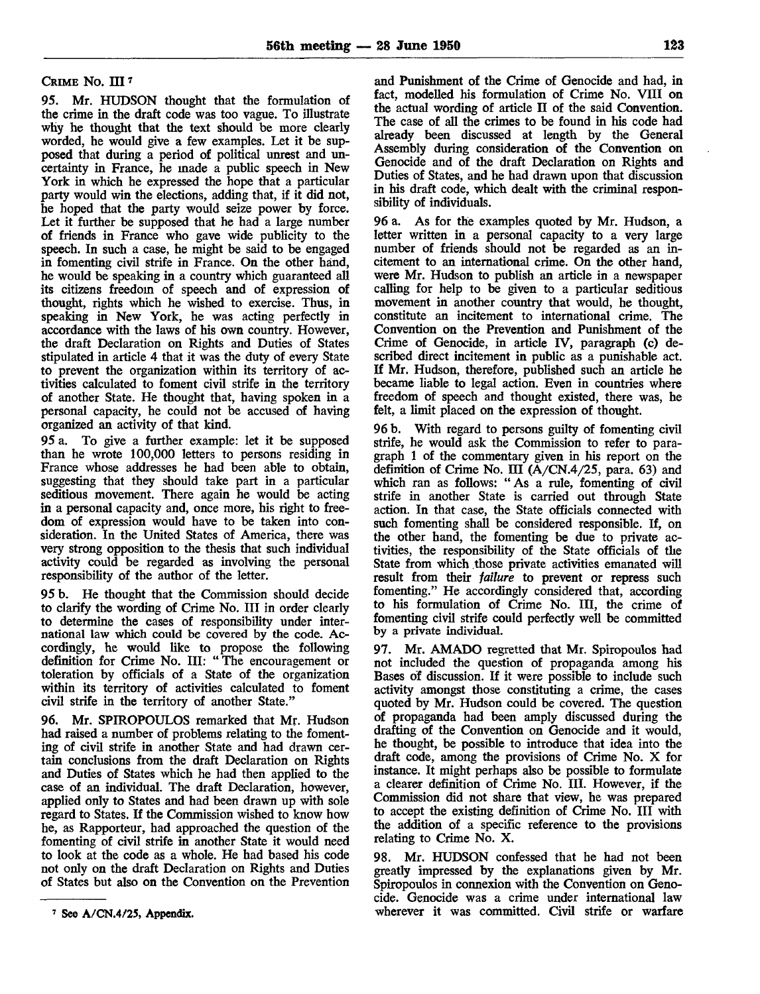## CRIME No. III<sup>7</sup>

95. Mr. HUDSON thought that the formulation of the crime in the draft code was too vague. To illustrate why he thought that the text should be more clearly worded, he would give a few examples. Let it be supposed that during a period of political unrest and uncertainty in France, he made a public speech in New York in which he expressed the hope that a particular party would win the elections, adding that, if it did not, he hoped that the party would seize power by force. Let it further be supposed that he had a large number of friends in France who gave wide publicity to the speech. In such a case, he might be said to be engaged in fomenting civil strife in France. On the other hand, he would be speaking in a country which guaranteed all its citizens freedom of speech and of expression of thought, rights which he wished to exercise. Thus, in speaking in New York, he was acting perfectly in accordance with the laws of his own country. However, the draft Declaration on Rights and Duties of States stipulated in article 4 that it was the duty of every State to prevent the organization within its territory of activities calculated to foment civil strife in the territory of another State. He thought that, having spoken *in* a personal capacity, he could not be accused of having organized an activity of that kind.

95 a. To give a further example: let it be supposed than he wrote 100,000 letters to persons residing in France whose addresses he had been able to obtain, suggesting that they should take part in a particular seditious movement. There again he would be acting in a personal capacity and, once more, his right to freedom of expression would have to be taken into consideration. In the United States of America, there was very strong opposition to the thesis that such individual activity could be regarded as involving the personal responsibility of the author of the letter.

95 b. He thought that the Commission should decide to clarify the wording of Crime No. Ill in order clearly to determine the cases of responsibility under international law which could be covered by the code. Accordingly, he would like to propose the following definition for Crime No. Ill: " The encouragement or toleration by officials of a State of the organization within its territory of activities calculated to foment civil strife in the territory of another State."

96. Mr. SPIROPOULOS remarked that Mr. Hudson had raised a number of problems relating to the fomenting of civil strife in another State and had drawn certain conclusions from the draft Declaration on Rights and Duties of States which he had then applied to the case of an individual. The draft Declaration, however, applied only to States and had been drawn up with sole regard to States. If the Commission wished to know how he, as Rapporteur, had approached the question of the fomenting of civil strife in another State it would need to look at the code as a whole. He had based his code not only on the draft Declaration on Rights and Duties of States but also on the Convention on the Prevention

and Punishment of the Crime of Genocide and had, in fact, modelled his formulation of Crime No. VIII on the actual wording of article II of the said Convention. The case of all the crimes to be found in his code had already been discussed at length by the General Assembly during consideration of the Convention on Genocide and of the draft Declaration on Rights and Duties of States, and he had drawn upon that discussion in his draft code, which dealt with the criminal responsibility of individuals.

96 a. As for the examples quoted by Mr. Hudson, a letter written in a personal capacity to a very large number of friends should not be regarded as an incitement to an international crime. On the other hand, were Mr. Hudson to publish an article in a newspaper calling for help to be given to a particular seditious movement in another country that would, he thought, constitute an incitement to international crime. The Convention on the Prevention and Punishment of the Crime of Genocide, in article IV, paragraph (c) described direct incitement in public as a punishable act. If Mr. Hudson, therefore, published such an article he became liable to legal action. Even in countries where freedom of speech and thought existed, there was, he felt, a limit placed on the expression of thought.

96 b. With regard to persons guilty of fomenting civil strife, he would ask the Commission to refer to paragraph 1 of the commentary given in his report on the definition of Crime No. III  $(A/CN.4/25,$  para. 63) and which ran as follows: " As a rule, fomenting of civil strife in another State is carried out through State action. In that case, the State officials connected with such fomenting shall be considered responsible. If, on the other hand, the fomenting be due to private activities, the responsibility of the State officials of the State from which those private activities emanated will result from their *failure* to prevent or repress such fomenting." He accordingly considered that, according to his formulation of Crime No. Ill, the crime of fomenting civil strife could perfectly well be committed by a private individual.

97. Mr. AMADO regretted that Mr. Spiropoulos had not included the question of propaganda among his Bases of discussion. If it were possible to include such activity amongst those constituting a crime, the cases quoted by Mr. Hudson could be covered. The question of propaganda had been amply discussed during the drafting of the Convention on Genocide and it would, he thought, be possible to introduce that idea into the draft code, among the provisions of Crime No. X for instance. It might perhaps also be possible to formulate a clearer definition of Crime No. III. However, if the Commission did not share that view, he was prepared to accept the existing definition of Crime No. Ill with the addition of a specific reference to the provisions relating to Crime No. X.

98. Mr. HUDSON confessed that he had not been greatly impressed by the explanations given by Mr. Spiropoulos in connexion with the Convention on Genocide. Genocide was a crime under international law wherever it was committed. Civil strife or warfare

<sup>7</sup> See A/CN.4/25, Appendix.